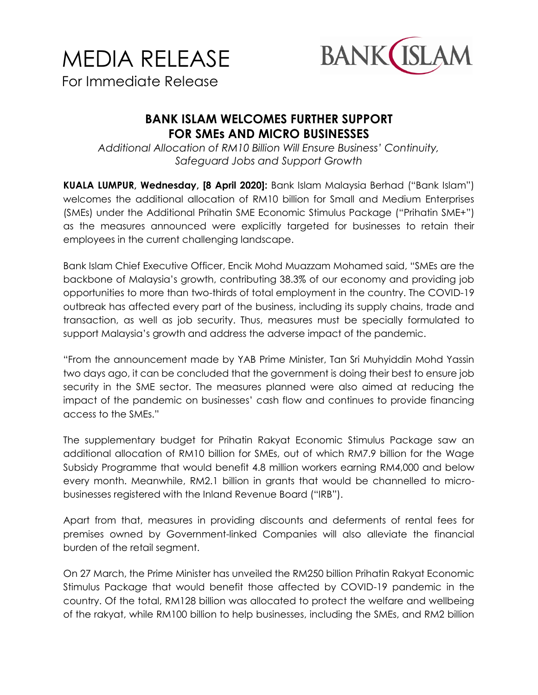

**BANK ISLAM WELCOMES FURTHER SUPPORT FOR SMEs AND MICRO BUSINESSES**

*Additional Allocation of RM10 Billion Will Ensure Business' Continuity, Safeguard Jobs and Support Growth*

**KUALA LUMPUR, Wednesday, [8 April 2020]:** Bank Islam Malaysia Berhad ("Bank Islam") welcomes the additional allocation of RM10 billion for Small and Medium Enterprises (SMEs) under the Additional Prihatin SME Economic Stimulus Package ("Prihatin SME+") as the measures announced were explicitly targeted for businesses to retain their employees in the current challenging landscape.

Bank Islam Chief Executive Officer, Encik Mohd Muazzam Mohamed said, "SMEs are the backbone of Malaysia's growth, contributing 38.3% of our economy and providing job opportunities to more than two-thirds of total employment in the country. The COVID-19 outbreak has affected every part of the business, including its supply chains, trade and transaction, as well as job security. Thus, measures must be specially formulated to support Malaysia's growth and address the adverse impact of the pandemic.

"From the announcement made by YAB Prime Minister, Tan Sri Muhyiddin Mohd Yassin two days ago, it can be concluded that the government is doing their best to ensure job security in the SME sector. The measures planned were also aimed at reducing the impact of the pandemic on businesses' cash flow and continues to provide financing access to the SMEs."

The supplementary budget for Prihatin Rakyat Economic Stimulus Package saw an additional allocation of RM10 billion for SMEs, out of which RM7.9 billion for the Wage Subsidy Programme that would benefit 4.8 million workers earning RM4,000 and below every month. Meanwhile, RM2.1 billion in grants that would be channelled to microbusinesses registered with the Inland Revenue Board ("IRB").

Apart from that, measures in providing discounts and deferments of rental fees for premises owned by Government-linked Companies will also alleviate the financial burden of the retail segment.

On 27 March, the Prime Minister has unveiled the RM250 billion Prihatin Rakyat Economic Stimulus Package that would benefit those affected by COVID-19 pandemic in the country. Of the total, RM128 billion was allocated to protect the welfare and wellbeing of the rakyat, while RM100 billion to help businesses, including the SMEs, and RM2 billion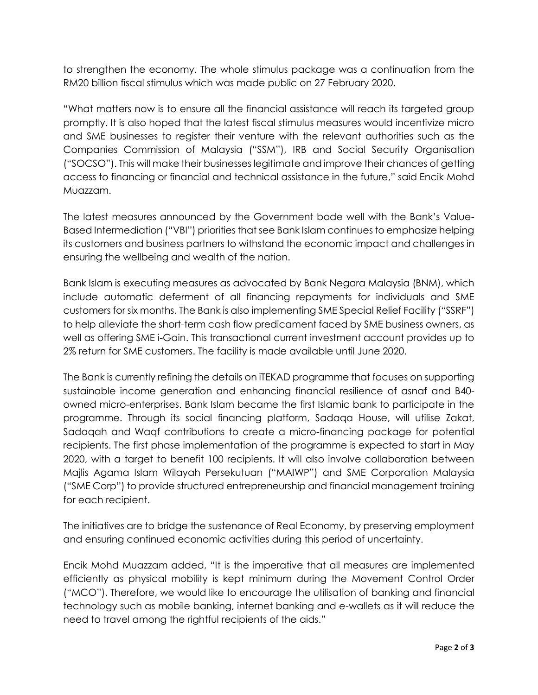to strengthen the economy. The whole stimulus package was a continuation from the RM20 billion fiscal stimulus which was made public on 27 February 2020.

"What matters now is to ensure all the financial assistance will reach its targeted group promptly. It is also hoped that the latest fiscal stimulus measures would incentivize micro and SME businesses to register their venture with the relevant authorities such as the Companies Commission of Malaysia ("SSM"), IRB and Social Security Organisation ("SOCSO"). This will make their businesses legitimate and improve their chances of getting access to financing or financial and technical assistance in the future," said Encik Mohd Muazzam.

The latest measures announced by the Government bode well with the Bank's Value-Based Intermediation ("VBI") priorities that see Bank Islam continues to emphasize helping its customers and business partners to withstand the economic impact and challenges in ensuring the wellbeing and wealth of the nation.

Bank Islam is executing measures as advocated by Bank Negara Malaysia (BNM), which include automatic deferment of all financing repayments for individuals and SME customers for six months. The Bank is also implementing SME Special Relief Facility ("SSRF") to help alleviate the short-term cash flow predicament faced by SME business owners, as well as offering SME i-Gain. This transactional current investment account provides up to 2% return for SME customers. The facility is made available until June 2020.

The Bank is currently refining the details on iTEKAD programme that focuses on supporting sustainable income generation and enhancing financial resilience of asnaf and B40 owned micro-enterprises. Bank Islam became the first Islamic bank to participate in the programme. Through its social financing platform, Sadaqa House, will utilise Zakat, Sadaqah and Waqf contributions to create a micro-financing package for potential recipients. The first phase implementation of the programme is expected to start in May 2020, with a target to benefit 100 recipients. It will also involve collaboration between Majlis Agama Islam Wilayah Persekutuan ("MAIWP") and SME Corporation Malaysia ("SME Corp") to provide structured entrepreneurship and financial management training for each recipient.

The initiatives are to bridge the sustenance of Real Economy, by preserving employment and ensuring continued economic activities during this period of uncertainty.

Encik Mohd Muazzam added, "It is the imperative that all measures are implemented efficiently as physical mobility is kept minimum during the Movement Control Order ("MCO"). Therefore, we would like to encourage the utilisation of banking and financial technology such as mobile banking, internet banking and e-wallets as it will reduce the need to travel among the rightful recipients of the aids."